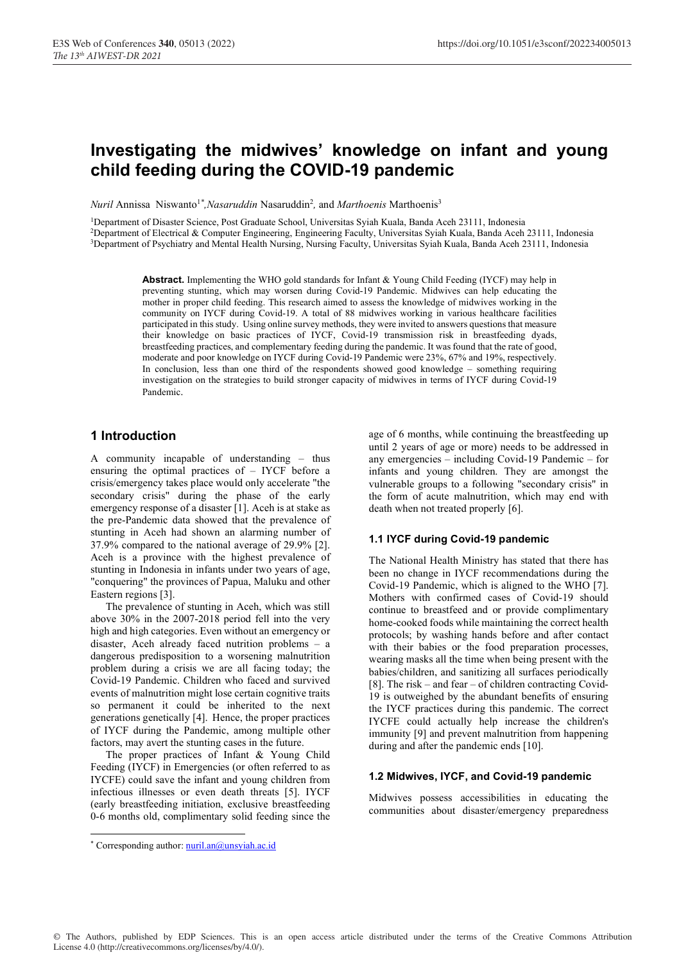# Investigating the midwives' knowledge on infant and young child feeding during the COVID-19 pandemic

Nuril Annissa Niswanto<sup>1\*</sup>, Nasaruddin Nasaruddin<sup>2</sup>, and Marthoenis Marthoenis<sup>3</sup>

1 Department of Disaster Science, Post Graduate School, Universitas Syiah Kuala, Banda Aceh 23111, Indonesia 2 Department of Electrical & Computer Engineering, Engineering Faculty, Universitas Syiah Kuala, Banda Aceh 23111, Indonesia 3 Department of Psychiatry and Mental Health Nursing, Nursing Faculty, Universitas Syiah Kuala, Banda Aceh 23111, Indonesia

> Abstract. Implementing the WHO gold standards for Infant & Young Child Feeding (IYCF) may help in preventing stunting, which may worsen during Covid-19 Pandemic. Midwives can help educating the mother in proper child feeding. This research aimed to assess the knowledge of midwives working in the community on IYCF during Covid-19. A total of 88 midwives working in various healthcare facilities participated in this study. Using online survey methods, they were invited to answers questions that measure their knowledge on basic practices of IYCF, Covid-19 transmission risk in breastfeeding dyads, breastfeeding practices, and complementary feeding during the pandemic. It was found that the rate of good, moderate and poor knowledge on IYCF during Covid-19 Pandemic were 23%, 67% and 19%, respectively. In conclusion, less than one third of the respondents showed good knowledge – something requiring investigation on the strategies to build stronger capacity of midwives in terms of IYCF during Covid-19 Pandemic.

## 1 Introduction

A community incapable of understanding – thus ensuring the optimal practices of – IYCF before a crisis/emergency takes place would only accelerate "the secondary crisis" during the phase of the early emergency response of a disaster [1]. Aceh is at stake as the pre-Pandemic data showed that the prevalence of stunting in Aceh had shown an alarming number of 37.9% compared to the national average of 29.9% [2]. Aceh is a province with the highest prevalence of stunting in Indonesia in infants under two years of age, "conquering" the provinces of Papua, Maluku and other Eastern regions [3].

The prevalence of stunting in Aceh, which was still above 30% in the 2007-2018 period fell into the very high and high categories. Even without an emergency or disaster, Aceh already faced nutrition problems – a dangerous predisposition to a worsening malnutrition problem during a crisis we are all facing today; the Covid-19 Pandemic. Children who faced and survived events of malnutrition might lose certain cognitive traits so permanent it could be inherited to the next generations genetically [4]. Hence, the proper practices of IYCF during the Pandemic, among multiple other factors, may avert the stunting cases in the future.

The proper practices of Infant & Young Child Feeding (IYCF) in Emergencies (or often referred to as IYCFE) could save the infant and young children from infectious illnesses or even death threats [5]. IYCF (early breastfeeding initiation, exclusive breastfeeding 0-6 months old, complimentary solid feeding since the age of 6 months, while continuing the breastfeeding up until 2 years of age or more) needs to be addressed in any emergencies – including Covid-19 Pandemic – for infants and young children. They are amongst the vulnerable groups to a following "secondary crisis" in the form of acute malnutrition, which may end with death when not treated properly [6].

#### 1.1 IYCF during Covid-19 pandemic

The National Health Ministry has stated that there has been no change in IYCF recommendations during the Covid-19 Pandemic, which is aligned to the WHO [7]. Mothers with confirmed cases of Covid-19 should continue to breastfeed and or provide complimentary home-cooked foods while maintaining the correct health protocols; by washing hands before and after contact with their babies or the food preparation processes, wearing masks all the time when being present with the babies/children, and sanitizing all surfaces periodically [8]. The risk – and fear – of children contracting Covid-19 is outweighed by the abundant benefits of ensuring the IYCF practices during this pandemic. The correct IYCFE could actually help increase the children's immunity [9] and prevent malnutrition from happening during and after the pandemic ends [10].

#### 1.2 Midwives, IYCF, and Covid-19 pandemic

Midwives possess accessibilities in educating the communities about disaster/emergency preparedness

© The Authors, published by EDP Sciences. This is an open access article distributed under the terms of the Creative Commons Attribution License 4.0 (http://creativecommons.org/licenses/by/4.0/).

<sup>\*</sup> Corresponding author: nuril.an@unsyiah.ac.id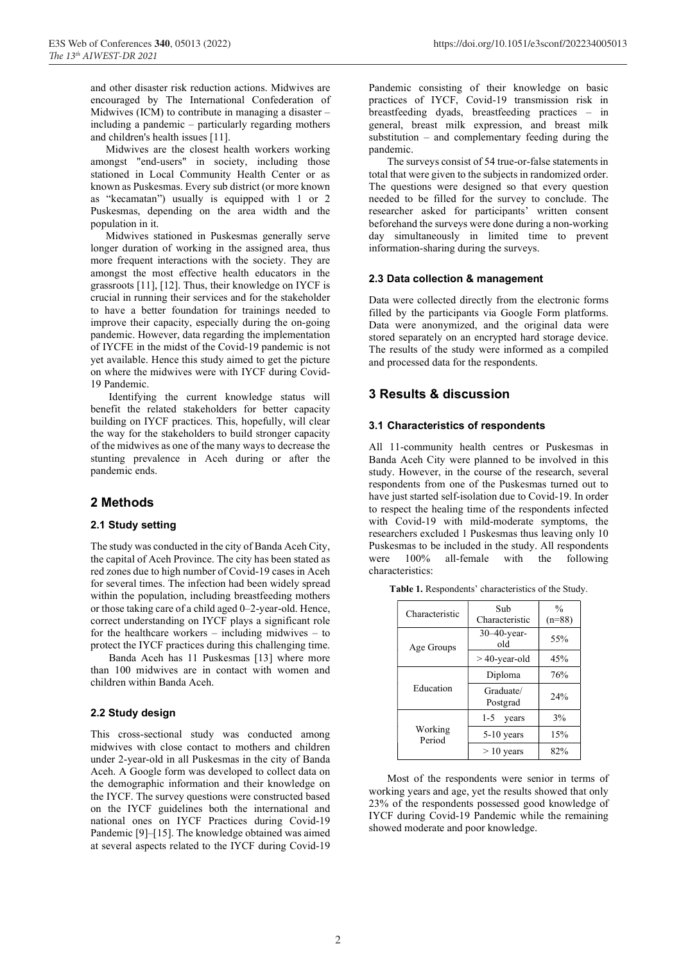and other disaster risk reduction actions. Midwives are encouraged by The International Confederation of Midwives (ICM) to contribute in managing a disaster  $$ including a pandemic – particularly regarding mothers and children's health issues [11].

Midwives are the closest health workers working amongst "end-users" in society, including those stationed in Local Community Health Center or as known as Puskesmas. Every sub district (or more known as "kecamatan") usually is equipped with 1 or 2 Puskesmas, depending on the area width and the population in it.

Midwives stationed in Puskesmas generally serve longer duration of working in the assigned area, thus more frequent interactions with the society. They are amongst the most effective health educators in the grassroots [11], [12]. Thus, their knowledge on IYCF is crucial in running their services and for the stakeholder to have a better foundation for trainings needed to improve their capacity, especially during the on-going pandemic. However, data regarding the implementation of IYCFE in the midst of the Covid-19 pandemic is not yet available. Hence this study aimed to get the picture on where the midwives were with IYCF during Covid-19 Pandemic.

 Identifying the current knowledge status will benefit the related stakeholders for better capacity building on IYCF practices. This, hopefully, will clear the way for the stakeholders to build stronger capacity of the midwives as one of the many ways to decrease the stunting prevalence in Aceh during or after the pandemic ends.

## 2 Methods

#### 2.1 Study setting

The study was conducted in the city of Banda Aceh City, the capital of Aceh Province. The city has been stated as red zones due to high number of Covid-19 cases in Aceh for several times. The infection had been widely spread within the population, including breastfeeding mothers or those taking care of a child aged 0–2-year-old. Hence, correct understanding on IYCF plays a significant role for the healthcare workers – including midwives – to protect the IYCF practices during this challenging time.

 Banda Aceh has 11 Puskesmas [13] where more than 100 midwives are in contact with women and children within Banda Aceh.

#### 2.2 Study design

This cross-sectional study was conducted among midwives with close contact to mothers and children under 2-year-old in all Puskesmas in the city of Banda Aceh. A Google form was developed to collect data on the demographic information and their knowledge on the IYCF. The survey questions were constructed based on the IYCF guidelines both the international and national ones on IYCF Practices during Covid-19 Pandemic [9]–[15]. The knowledge obtained was aimed at several aspects related to the IYCF during Covid-19 Pandemic consisting of their knowledge on basic practices of IYCF, Covid-19 transmission risk in breastfeeding dyads, breastfeeding practices – in general, breast milk expression, and breast milk substitution – and complementary feeding during the pandemic.

 The surveys consist of 54 true-or-false statements in total that were given to the subjects in randomized order. The questions were designed so that every question needed to be filled for the survey to conclude. The researcher asked for participants' written consent beforehand the surveys were done during a non-working day simultaneously in limited time to prevent information-sharing during the surveys.

#### 2.3 Data collection & management

Data were collected directly from the electronic forms filled by the participants via Google Form platforms. Data were anonymized, and the original data were stored separately on an encrypted hard storage device. The results of the study were informed as a compiled and processed data for the respondents.

# 3 Results & discussion

#### 3.1 Characteristics of respondents

All 11-community health centres or Puskesmas in Banda Aceh City were planned to be involved in this study. However, in the course of the research, several respondents from one of the Puskesmas turned out to have just started self-isolation due to Covid-19. In order to respect the healing time of the respondents infected with Covid-19 with mild-moderate symptoms, the researchers excluded 1 Puskesmas thus leaving only 10 Puskesmas to be included in the study. All respondents were 100% all-female with the following characteristics:

| Characteristic    | Sub<br>Characteristic | $\frac{0}{0}$<br>$(n=88)$ |
|-------------------|-----------------------|---------------------------|
| Age Groups        | 30-40-year-<br>old    | 55%                       |
|                   | $>40$ -year-old       | 45%                       |
| Education         | Diploma               | 76%                       |
|                   | Graduate/<br>Postgrad | 24%                       |
| Working<br>Period | 1-5<br>years          | 3%                        |
|                   | 5-10 years            | 15%                       |
|                   | $> 10$ years          | 82%                       |

Table 1. Respondents' characteristics of the Study.

 Most of the respondents were senior in terms of working years and age, yet the results showed that only 23% of the respondents possessed good knowledge of IYCF during Covid-19 Pandemic while the remaining showed moderate and poor knowledge.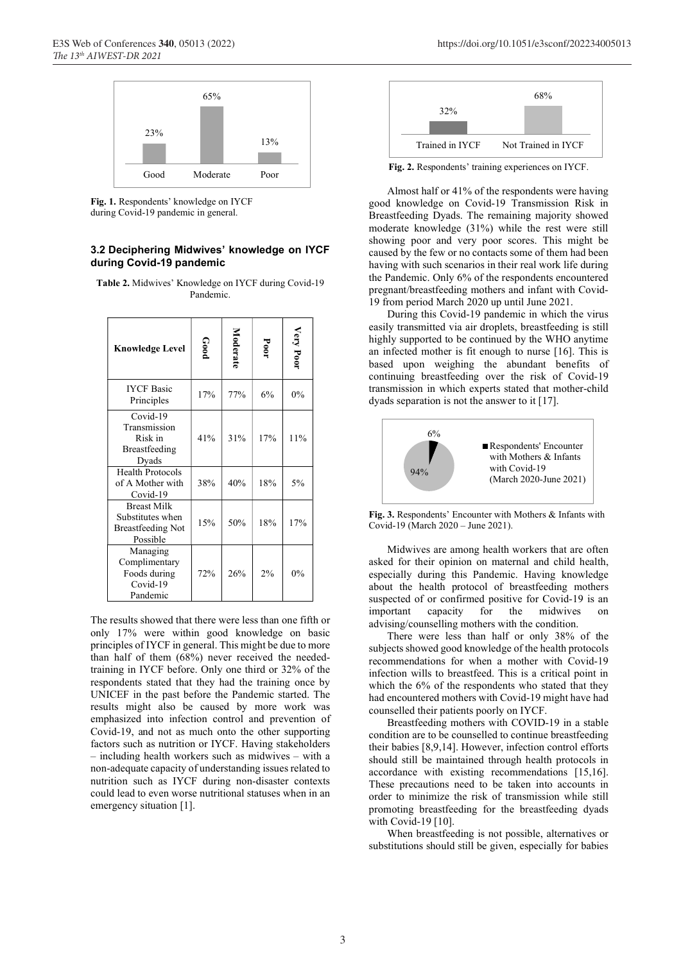

Fig. 1. Respondents' knowledge on IYCF during Covid-19 pandemic in general.

#### 3.2 Deciphering Midwives' knowledge on IYCF during Covid-19 pandemic

Table 2. Midwives' Knowledge on IYCF during Covid-19 Pandemic.

| <b>Knowledge Level</b>                                                         | Good | Moderate | Poor | Very Poor |
|--------------------------------------------------------------------------------|------|----------|------|-----------|
| <b>IYCF Basic</b><br>Principles                                                | 17%  | 77%      | 6%   | 0%        |
| Covid-19<br>Transmission<br>Risk in<br>Breastfeeding<br>Dyads                  | 41%  | 31%      | 17%  | 11%       |
| <b>Health Protocols</b><br>of A Mother with<br>Covid-19                        | 38%  | 40%      | 18%  | 5%        |
| <b>Breast Milk</b><br>Substitutes when<br><b>Breastfeeding Not</b><br>Possible | 15%  | 50%      | 18%  | 17%       |
| Managing<br>Complimentary<br>Foods during<br>Covid-19<br>Pandemic              | 72%  | 26%      | 2%   | 0%        |

The results showed that there were less than one fifth or only 17% were within good knowledge on basic principles of IYCF in general. This might be due to more than half of them (68%) never received the neededtraining in IYCF before. Only one third or 32% of the respondents stated that they had the training once by UNICEF in the past before the Pandemic started. The results might also be caused by more work was emphasized into infection control and prevention of Covid-19, and not as much onto the other supporting factors such as nutrition or IYCF. Having stakeholders – including health workers such as midwives – with a non-adequate capacity of understanding issues related to nutrition such as IYCF during non-disaster contexts could lead to even worse nutritional statuses when in an emergency situation [1].



Fig. 2. Respondents' training experiences on IYCF.

 Almost half or 41% of the respondents were having good knowledge on Covid-19 Transmission Risk in Breastfeeding Dyads. The remaining majority showed moderate knowledge (31%) while the rest were still showing poor and very poor scores. This might be caused by the few or no contacts some of them had been having with such scenarios in their real work life during the Pandemic. Only 6% of the respondents encountered pregnant/breastfeeding mothers and infant with Covid-19 from period March 2020 up until June 2021.

 During this Covid-19 pandemic in which the virus easily transmitted via air droplets, breastfeeding is still highly supported to be continued by the WHO anytime an infected mother is fit enough to nurse [16]. This is based upon weighing the abundant benefits of continuing breastfeeding over the risk of Covid-19 transmission in which experts stated that mother-child dyads separation is not the answer to it [17].



Fig. 3. Respondents' Encounter with Mothers & Infants with Covid-19 (March 2020 – June 2021).

 Midwives are among health workers that are often asked for their opinion on maternal and child health, especially during this Pandemic. Having knowledge about the health protocol of breastfeeding mothers suspected of or confirmed positive for Covid-19 is an important capacity for the midwives on advising/counselling mothers with the condition.

 There were less than half or only 38% of the subjects showed good knowledge of the health protocols recommendations for when a mother with Covid-19 infection wills to breastfeed. This is a critical point in which the 6% of the respondents who stated that they had encountered mothers with Covid-19 might have had counselled their patients poorly on IYCF.

 Breastfeeding mothers with COVID-19 in a stable condition are to be counselled to continue breastfeeding their babies [8,9,14]. However, infection control efforts should still be maintained through health protocols in accordance with existing recommendations [15,16]. These precautions need to be taken into accounts in order to minimize the risk of transmission while still promoting breastfeeding for the breastfeeding dyads with Covid-19 [10].

 When breastfeeding is not possible, alternatives or substitutions should still be given, especially for babies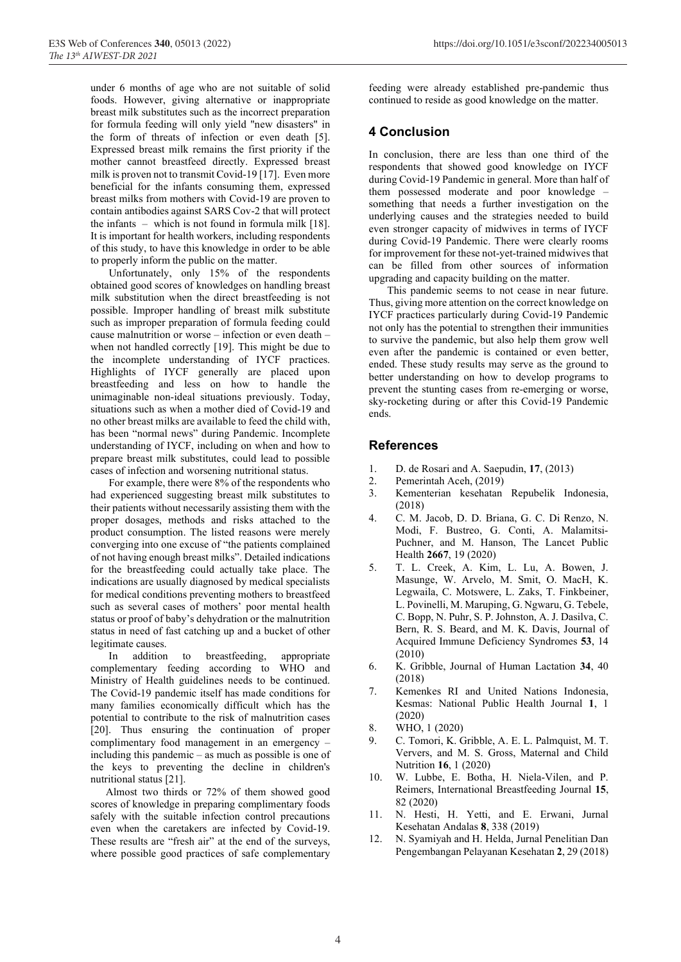under 6 months of age who are not suitable of solid foods. However, giving alternative or inappropriate breast milk substitutes such as the incorrect preparation for formula feeding will only yield "new disasters" in the form of threats of infection or even death [5]. Expressed breast milk remains the first priority if the mother cannot breastfeed directly. Expressed breast milk is proven not to transmit Covid-19 [17]. Even more beneficial for the infants consuming them, expressed breast milks from mothers with Covid-19 are proven to contain antibodies against SARS Cov-2 that will protect the infants – which is not found in formula milk  $[18]$ . It is important for health workers, including respondents of this study, to have this knowledge in order to be able to properly inform the public on the matter.

 Unfortunately, only 15% of the respondents obtained good scores of knowledges on handling breast milk substitution when the direct breastfeeding is not possible. Improper handling of breast milk substitute such as improper preparation of formula feeding could cause malnutrition or worse – infection or even death – when not handled correctly [19]. This might be due to the incomplete understanding of IYCF practices. Highlights of IYCF generally are placed upon breastfeeding and less on how to handle the unimaginable non-ideal situations previously. Today, situations such as when a mother died of Covid-19 and no other breast milks are available to feed the child with, has been "normal news" during Pandemic. Incomplete understanding of IYCF, including on when and how to prepare breast milk substitutes, could lead to possible cases of infection and worsening nutritional status.

 For example, there were 8% of the respondents who had experienced suggesting breast milk substitutes to their patients without necessarily assisting them with the proper dosages, methods and risks attached to the product consumption. The listed reasons were merely converging into one excuse of "the patients complained of not having enough breast milks". Detailed indications for the breastfeeding could actually take place. The indications are usually diagnosed by medical specialists for medical conditions preventing mothers to breastfeed such as several cases of mothers' poor mental health status or proof of baby's dehydration or the malnutrition status in need of fast catching up and a bucket of other legitimate causes.

 In addition to breastfeeding, appropriate complementary feeding according to WHO and Ministry of Health guidelines needs to be continued. The Covid-19 pandemic itself has made conditions for many families economically difficult which has the potential to contribute to the risk of malnutrition cases [20]. Thus ensuring the continuation of proper complimentary food management in an emergency – including this pandemic – as much as possible is one of the keys to preventing the decline in children's nutritional status [21].

Almost two thirds or 72% of them showed good scores of knowledge in preparing complimentary foods safely with the suitable infection control precautions even when the caretakers are infected by Covid-19. These results are "fresh air" at the end of the surveys, where possible good practices of safe complementary feeding were already established pre-pandemic thus continued to reside as good knowledge on the matter.

# 4 Conclusion

In conclusion, there are less than one third of the respondents that showed good knowledge on IYCF during Covid-19 Pandemic in general. More than half of them possessed moderate and poor knowledge – something that needs a further investigation on the underlying causes and the strategies needed to build even stronger capacity of midwives in terms of IYCF during Covid-19 Pandemic. There were clearly rooms for improvement for these not-yet-trained midwives that can be filled from other sources of information upgrading and capacity building on the matter.

 This pandemic seems to not cease in near future. Thus, giving more attention on the correct knowledge on IYCF practices particularly during Covid-19 Pandemic not only has the potential to strengthen their immunities to survive the pandemic, but also help them grow well even after the pandemic is contained or even better, ended. These study results may serve as the ground to better understanding on how to develop programs to prevent the stunting cases from re-emerging or worse, sky-rocketing during or after this Covid-19 Pandemic ends.

## References

- 1. D. de Rosari and A. Saepudin, 17, (2013)
- 2. Pemerintah Aceh, (2019)
- 3. Kementerian kesehatan Repubelik Indonesia, (2018)
- 4. C. M. Jacob, D. D. Briana, G. C. Di Renzo, N. Modi, F. Bustreo, G. Conti, A. Malamitsi-Puchner, and M. Hanson, The Lancet Public Health 2667, 19 (2020)
- 5. T. L. Creek, A. Kim, L. Lu, A. Bowen, J. Masunge, W. Arvelo, M. Smit, O. MacH, K. Legwaila, C. Motswere, L. Zaks, T. Finkbeiner, L. Povinelli, M. Maruping, G. Ngwaru, G. Tebele, C. Bopp, N. Puhr, S. P. Johnston, A. J. Dasilva, C. Bern, R. S. Beard, and M. K. Davis, Journal of Acquired Immune Deficiency Syndromes 53, 14 (2010)
- 6. K. Gribble, Journal of Human Lactation 34, 40 (2018)
- 7. Kemenkes RI and United Nations Indonesia, Kesmas: National Public Health Journal 1, 1 (2020)
- 8. WHO, 1 (2020)
- 9. C. Tomori, K. Gribble, A. E. L. Palmquist, M. T. Ververs, and M. S. Gross, Maternal and Child Nutrition 16, 1 (2020)
- 10. W. Lubbe, E. Botha, H. Niela-Vilen, and P. Reimers, International Breastfeeding Journal 15, 82 (2020)
- 11. N. Hesti, H. Yetti, and E. Erwani, Jurnal Kesehatan Andalas 8, 338 (2019)
- 12. N. Syamiyah and H. Helda, Jurnal Penelitian Dan Pengembangan Pelayanan Kesehatan 2, 29 (2018)